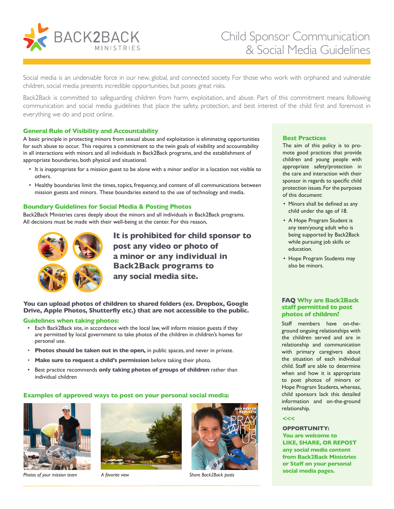

# Child Sponsor Communication & Social Media Guidelines

Social media is an undeniable force in our new, global, and connected society. For those who work with orphaned and vulnerable children, social media presents incredible opportunities, but poses great risks.

Back2Back is committed to safeguarding children from harm, exploitation, and abuse. Part of this commitment means following communication and social media guidelines that place the safety, protection, and best interest of the child first and foremost in everything we do and post online.

#### **General Rule of Visibility and Accountability**

A basic principle in protecting minors from sexual abuse and exploitation is eliminating opportunities for such abuse to occur. This requires a commitment to the twin goals of visibility and accountability in all interactions with minors and all individuals in Back2Back programs, and the establishment of appropriate boundaries, both physical and situational.

- It is inappropriate for a mission guest to be alone with a minor and/or in a location not visible to others.
- Healthy boundaries limit the times, topics, frequency, and content of all communications between mission guests and minors. These boundaries extend to the use of technology and media.

#### **Boundary Guidelines for Social Media & Posting Photos**

Back2Back Ministries cares deeply about the minors and all individuals in Back2Back programs. All decisions must be made with their well-being at the center. For this reason,



**It is prohibited for child sponsor to post any video or photo of a minor or any individual in Back2Back programs to any social media site.**

**You can upload photos of children to shared folders (ex. Dropbox, Google Drive, Apple Photos, Shutterfly etc.) that are not accessible to the public.** 

#### **Guidelines when taking photos:**

- Each Back2Back site, in accordance with the local law, will inform mission guests if they are permitted by local government to take photos of the children in children's homes for personal use.
- **Photos should be taken out in the open,** in public spaces, and never in private.
- **Make sure to request a child's permission** before taking their photo.
- Best practice recommends **only taking photos of groups of children** rather than individual children

#### **Examples of approved ways to post on your personal social media:**



*Photos of your mission team A favorite view Share Back2Back posts* 





#### **Best Practices**

The aim of this policy is to promote good practices that provide children and young people with appropriate safety/protection in the care and interaction with their sponsor in regards to specific child protection issues. For the purposes of this document:

- Minors shall be defined as any child under the age of 18.
- A Hope Program Student is any teen/young adult who is being supported by Back2Back while pursuing job skills or education.
- Hope Program Students may also be minors.

#### **FAQ Why are Back2Back staff permitted to post photos of children?**

Staff members have on-theground ongoing relationships with the children served and are in relationship and communication with primary caregivers about the situation of each individual child. Staff are able to determine when and how it is appropriate to post photos of minors or Hope Program Students, whereas, child sponsors lack this detailed information and on-the-ground relationship.

## **<<<**

**OPPORTUNITY: You are welcome to LIKE, SHARE, OR REPOST any social media content from Back2Back Ministries or Staff on your personal social media pages.**